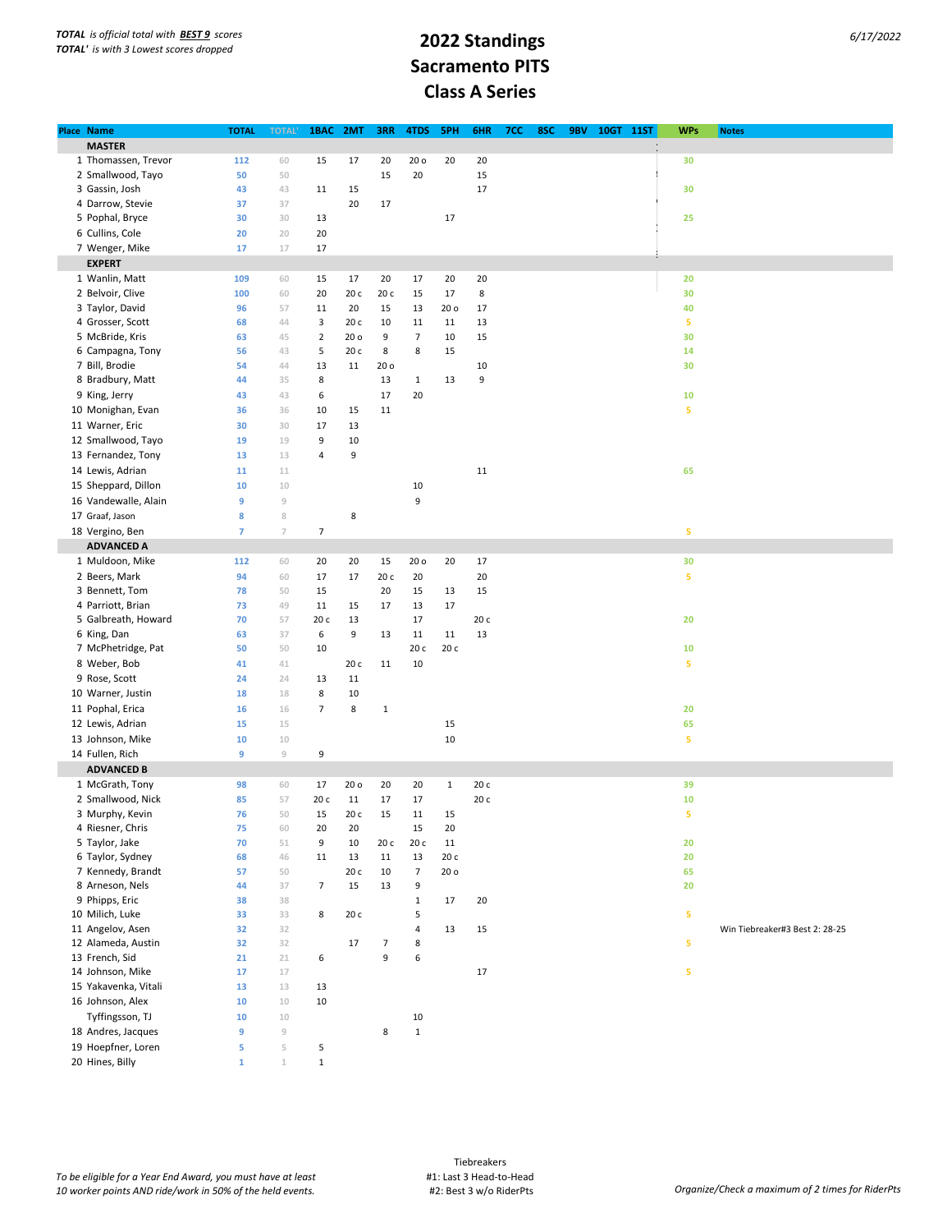## **Sacramento PITS Class A Series**

| Place Name           |              |                                                                                                                                                                                                                                                                                                                         | 1BAC           |                 |                 |                          | 5PH             |      |     |     |            |           | <b>WPs</b> |                                |
|----------------------|--------------|-------------------------------------------------------------------------------------------------------------------------------------------------------------------------------------------------------------------------------------------------------------------------------------------------------------------------|----------------|-----------------|-----------------|--------------------------|-----------------|------|-----|-----|------------|-----------|------------|--------------------------------|
|                      | <b>TOTAL</b> | <b>TOTAL</b>                                                                                                                                                                                                                                                                                                            |                | 2MT             | 3RR             | 4TDS                     |                 | 6HR  | 7CC | 8SC | <b>9BV</b> | 10GT 11ST |            | <b>Notes</b>                   |
| <b>MASTER</b>        |              |                                                                                                                                                                                                                                                                                                                         |                |                 |                 |                          |                 |      |     |     |            |           |            |                                |
| 1 Thomassen, Trevor  | 112          | 60                                                                                                                                                                                                                                                                                                                      | 15             | 17              | 20              | 20 <sub>o</sub>          | 20              | 20   |     |     |            |           | 30         |                                |
| 2 Smallwood, Tayo    | 50           | 50                                                                                                                                                                                                                                                                                                                      |                |                 | 15              | 20                       |                 | 15   |     |     |            |           |            |                                |
| 3 Gassin, Josh       | 43           | 43                                                                                                                                                                                                                                                                                                                      | 11             | 15              |                 |                          |                 | 17   |     |     |            |           | 30         |                                |
| 4 Darrow, Stevie     | 37           | 37                                                                                                                                                                                                                                                                                                                      |                | 20              | 17              |                          |                 |      |     |     |            |           |            |                                |
| 5 Pophal, Bryce      | 30           | 30                                                                                                                                                                                                                                                                                                                      | 13             |                 |                 |                          | 17              |      |     |     |            |           | 25         |                                |
| 6 Cullins, Cole      | 20           | 20                                                                                                                                                                                                                                                                                                                      | 20             |                 |                 |                          |                 |      |     |     |            |           |            |                                |
| 7 Wenger, Mike       | 17           | 17                                                                                                                                                                                                                                                                                                                      | 17             |                 |                 |                          |                 |      |     |     |            |           |            |                                |
| <b>EXPERT</b>        |              |                                                                                                                                                                                                                                                                                                                         |                |                 |                 |                          |                 |      |     |     |            |           |            |                                |
| 1 Wanlin, Matt       | 109          | 60                                                                                                                                                                                                                                                                                                                      | 15             | 17              | 20              | 17                       | 20              | 20   |     |     |            |           | 20         |                                |
| 2 Belvoir, Clive     | 100          | 60                                                                                                                                                                                                                                                                                                                      | 20             | 20 c            | 20 c            | 15                       | 17              | 8    |     |     |            |           | 30         |                                |
| 3 Taylor, David      | 96           | 57                                                                                                                                                                                                                                                                                                                      | 11             | 20              | 15              | 13                       | 20 <sub>o</sub> | 17   |     |     |            |           | 40         |                                |
|                      |              |                                                                                                                                                                                                                                                                                                                         |                |                 |                 |                          |                 |      |     |     |            |           |            |                                |
| 4 Grosser, Scott     | 68           | 44                                                                                                                                                                                                                                                                                                                      | 3              | 20 c            | 10              | 11                       | 11              | 13   |     |     |            |           | 5          |                                |
| 5 McBride, Kris      | 63           | 45                                                                                                                                                                                                                                                                                                                      | $\overline{2}$ | 20 <sub>o</sub> | 9               | $\overline{7}$           | $10\,$          | 15   |     |     |            |           | 30         |                                |
| 6 Campagna, Tony     | 56           | 43                                                                                                                                                                                                                                                                                                                      | 5              | 20 c            | 8               | 8                        | 15              |      |     |     |            |           | 14         |                                |
| 7 Bill, Brodie       | 54           | 44                                                                                                                                                                                                                                                                                                                      | 13             | 11              | 20 <sub>o</sub> |                          |                 | 10   |     |     |            |           | 30         |                                |
| 8 Bradbury, Matt     | 44           | 35                                                                                                                                                                                                                                                                                                                      | 8              |                 | 13              | $\mathbf{1}$             | 13              | 9    |     |     |            |           |            |                                |
| 9 King, Jerry        | 43           | 43                                                                                                                                                                                                                                                                                                                      | 6              |                 | 17              | 20                       |                 |      |     |     |            |           | 10         |                                |
| 10 Monighan, Evan    | 36           | 36                                                                                                                                                                                                                                                                                                                      | 10             | 15              | 11              |                          |                 |      |     |     |            |           | 5          |                                |
| 11 Warner, Eric      | 30           | 30                                                                                                                                                                                                                                                                                                                      | 17             | 13              |                 |                          |                 |      |     |     |            |           |            |                                |
| 12 Smallwood, Tayo   | 19           | 19                                                                                                                                                                                                                                                                                                                      | 9              | 10              |                 |                          |                 |      |     |     |            |           |            |                                |
| 13 Fernandez, Tony   | 13           | 13                                                                                                                                                                                                                                                                                                                      | 4              | 9               |                 |                          |                 |      |     |     |            |           |            |                                |
| 14 Lewis, Adrian     | 11           | 11                                                                                                                                                                                                                                                                                                                      |                |                 |                 |                          |                 | 11   |     |     |            |           |            |                                |
|                      |              |                                                                                                                                                                                                                                                                                                                         |                |                 |                 |                          |                 |      |     |     |            |           | 65         |                                |
| 15 Sheppard, Dillon  | 10           | $10\,$                                                                                                                                                                                                                                                                                                                  |                |                 |                 | 10                       |                 |      |     |     |            |           |            |                                |
| 16 Vandewalle, Alain | 9            | $\mathcal G$                                                                                                                                                                                                                                                                                                            |                |                 |                 | 9                        |                 |      |     |     |            |           |            |                                |
| 17 Graaf, Jason      | 8            | $\,$ 8                                                                                                                                                                                                                                                                                                                  |                | 8               |                 |                          |                 |      |     |     |            |           |            |                                |
| 18 Vergino, Ben      | 7            | $\overline{J}$                                                                                                                                                                                                                                                                                                          | 7              |                 |                 |                          |                 |      |     |     |            |           | 5          |                                |
| <b>ADVANCED A</b>    |              |                                                                                                                                                                                                                                                                                                                         |                |                 |                 |                          |                 |      |     |     |            |           |            |                                |
| 1 Muldoon, Mike      | 112          | 60                                                                                                                                                                                                                                                                                                                      | 20             | 20              | 15              | 20 <sub>o</sub>          | 20              | 17   |     |     |            |           | 30         |                                |
| 2 Beers, Mark        | 94           | 60                                                                                                                                                                                                                                                                                                                      | 17             | 17              | 20 c            | 20                       |                 | 20   |     |     |            |           | 5          |                                |
| 3 Bennett, Tom       | 78           | 50                                                                                                                                                                                                                                                                                                                      | 15             |                 | 20              | 15                       | 13              | 15   |     |     |            |           |            |                                |
| 4 Parriott, Brian    | 73           | 49                                                                                                                                                                                                                                                                                                                      | 11             | 15              | 17              | 13                       | 17              |      |     |     |            |           |            |                                |
| 5 Galbreath, Howard  | 70           | 57                                                                                                                                                                                                                                                                                                                      | 20c            | 13              |                 | 17                       |                 | 20 c |     |     |            |           | 20         |                                |
| 6 King, Dan          | 63           | 37                                                                                                                                                                                                                                                                                                                      | 6              | 9               | 13              | 11                       | 11              | 13   |     |     |            |           |            |                                |
| 7 McPhetridge, Pat   | 50           |                                                                                                                                                                                                                                                                                                                         |                |                 |                 |                          | 20 с            |      |     |     |            |           |            |                                |
|                      |              | 50                                                                                                                                                                                                                                                                                                                      | 10             |                 |                 | 20 с                     |                 |      |     |     |            |           | 10         |                                |
| 8 Weber, Bob         | 41           | 41                                                                                                                                                                                                                                                                                                                      |                | 20 c            | 11              | 10                       |                 |      |     |     |            |           | 5          |                                |
| 9 Rose, Scott        | 24           | 24                                                                                                                                                                                                                                                                                                                      | 13             | $11\,$          |                 |                          |                 |      |     |     |            |           |            |                                |
| 10 Warner, Justin    | 18           | 18                                                                                                                                                                                                                                                                                                                      | 8              | 10              |                 |                          |                 |      |     |     |            |           |            |                                |
| 11 Pophal, Erica     | 16           | 16                                                                                                                                                                                                                                                                                                                      | 7              | 8               | $\mathbf 1$     |                          |                 |      |     |     |            |           | 20         |                                |
| 12 Lewis, Adrian     | 15           | 15                                                                                                                                                                                                                                                                                                                      |                |                 |                 |                          | 15              |      |     |     |            |           | 65         |                                |
| 13 Johnson, Mike     | 10           | 10                                                                                                                                                                                                                                                                                                                      |                |                 |                 |                          | 10              |      |     |     |            |           | 5          |                                |
| 14 Fullen, Rich      | 9            | $\mathrel{\mathop{}_{\mathop{\scriptstyle\mathop{\scriptstyle\mathop{\scriptstyle\mathop{\scriptstyle\mathop{\scriptstyle\mathop{\scriptstyle\mathop{\scriptstyle\mathop{\scriptstyle\mathop{\scriptstyle\mathop{\scriptstyle\mathop{\scriptstyle\mathop{\scriptstyle\mathop{\scriptstyle\mathop{\cal F}}}}}}}}}}}\,}}$ | 9              |                 |                 |                          |                 |      |     |     |            |           |            |                                |
| <b>ADVANCED B</b>    |              |                                                                                                                                                                                                                                                                                                                         |                |                 |                 |                          |                 |      |     |     |            |           |            |                                |
| 1 McGrath, Tony      | 98           | 60                                                                                                                                                                                                                                                                                                                      | 17             | 20 <sub>o</sub> | 20              | 20                       | $\mathbf 1$     | 20 c |     |     |            |           | 39         |                                |
| 2 Smallwood, Nick    | 85           | 57                                                                                                                                                                                                                                                                                                                      | 20 с           | $11\,$          | 17              | 17                       |                 | 20 с |     |     |            |           | 10         |                                |
| 3 Murphy, Kevin      | 76           | 50                                                                                                                                                                                                                                                                                                                      | 15             | 20 c            | 15              | 11                       | 15              |      |     |     |            |           | 5          |                                |
|                      |              |                                                                                                                                                                                                                                                                                                                         |                |                 |                 |                          |                 |      |     |     |            |           |            |                                |
| 4 Riesner, Chris     | 75           | 60                                                                                                                                                                                                                                                                                                                      | 20             | 20              |                 | 15                       | 20              |      |     |     |            |           |            |                                |
| 5 Taylor, Jake       | 70           | 51                                                                                                                                                                                                                                                                                                                      | 9              | 10              | 20 c            | 20 с                     | $11\,$          |      |     |     |            |           | 20         |                                |
| 6 Taylor, Sydney     | 68           | 46                                                                                                                                                                                                                                                                                                                      | 11             | 13              | 11              | 13                       | 20 с            |      |     |     |            |           | 20         |                                |
| 7 Kennedy, Brandt    | 57           | 50                                                                                                                                                                                                                                                                                                                      |                | 20c             | 10              | $\overline{\phantom{a}}$ | 20 o            |      |     |     |            |           | 65         |                                |
| 8 Arneson, Nels      | 44           | 37                                                                                                                                                                                                                                                                                                                      | 7              | 15              | 13              | 9                        |                 |      |     |     |            |           | 20         |                                |
| 9 Phipps, Eric       | 38           | 38                                                                                                                                                                                                                                                                                                                      |                |                 |                 | $\mathbf 1$              | 17              | 20   |     |     |            |           |            |                                |
| 10 Milich, Luke      | 33           | 33                                                                                                                                                                                                                                                                                                                      | 8              | 20 c            |                 | 5                        |                 |      |     |     |            |           | 5          |                                |
| 11 Angelov, Asen     | 32           | 32                                                                                                                                                                                                                                                                                                                      |                |                 |                 | $\sqrt{4}$               | 13              | 15   |     |     |            |           |            | Win Tiebreaker#3 Best 2: 28-25 |
| 12 Alameda, Austin   | 32           | 32                                                                                                                                                                                                                                                                                                                      |                | 17              | $\overline{7}$  | 8                        |                 |      |     |     |            |           | 5          |                                |
| 13 French, Sid       | 21           | 21                                                                                                                                                                                                                                                                                                                      | 6              |                 | 9               | 6                        |                 |      |     |     |            |           |            |                                |
| 14 Johnson, Mike     | 17           | 17                                                                                                                                                                                                                                                                                                                      |                |                 |                 |                          |                 | 17   |     |     |            |           | 5          |                                |
| 15 Yakavenka, Vitali | 13           | 13                                                                                                                                                                                                                                                                                                                      | 13             |                 |                 |                          |                 |      |     |     |            |           |            |                                |
| 16 Johnson, Alex     | 10           | $10\,$                                                                                                                                                                                                                                                                                                                  | 10             |                 |                 |                          |                 |      |     |     |            |           |            |                                |
| Tyffingsson, TJ      | 10           | $10$                                                                                                                                                                                                                                                                                                                    |                |                 |                 | 10                       |                 |      |     |     |            |           |            |                                |
| 18 Andres, Jacques   | 9            | $\mathfrak g$                                                                                                                                                                                                                                                                                                           |                |                 | 8               | $\mathbf 1$              |                 |      |     |     |            |           |            |                                |
| 19 Hoepfner, Loren   | 5            | 5                                                                                                                                                                                                                                                                                                                       | 5              |                 |                 |                          |                 |      |     |     |            |           |            |                                |
|                      |              |                                                                                                                                                                                                                                                                                                                         |                |                 |                 |                          |                 |      |     |     |            |           |            |                                |
| 20 Hines, Billy      | $\mathbf 1$  | $\mathbbm{1}$                                                                                                                                                                                                                                                                                                           | $\mathbf 1$    |                 |                 |                          |                 |      |     |     |            |           |            |                                |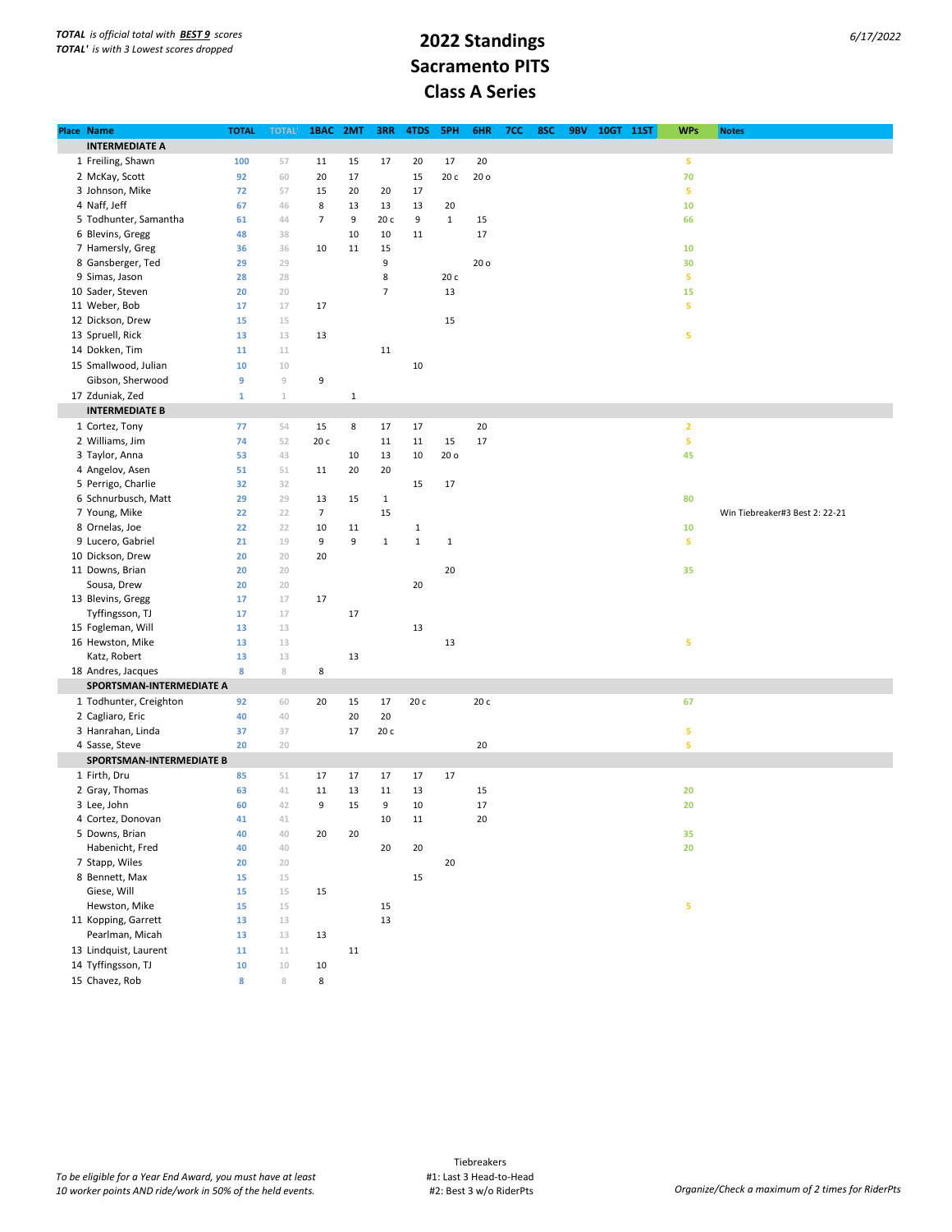## **Sacramento PITS Class A Series**

| Place Name               | <b>TOTAL</b> | <b>TOTAL'</b> | 1BAC           | 2MT         | <b>3RR</b>     | 4TDS        | 5PH             | 6HR             | 7CC | 8SC | 9BV | 10GT 11ST | <b>WPs</b>     | <b>Notes</b>                   |
|--------------------------|--------------|---------------|----------------|-------------|----------------|-------------|-----------------|-----------------|-----|-----|-----|-----------|----------------|--------------------------------|
| <b>INTERMEDIATE A</b>    |              |               |                |             |                |             |                 |                 |     |     |     |           |                |                                |
| 1 Freiling, Shawn        | 100          | 57            | 11             | 15          | 17             | 20          | 17              | 20              |     |     |     |           | 5              |                                |
| 2 McKay, Scott           | 92           | 60            | 20             | 17          |                | 15          | 20 с            | 20 <sub>o</sub> |     |     |     |           | 70             |                                |
| 3 Johnson, Mike          | 72           | 57            | 15             | 20          | 20             | 17          |                 |                 |     |     |     |           | 5              |                                |
| 4 Naff, Jeff             | 67           | 46            | 8              | 13          | 13             | 13          | 20              |                 |     |     |     |           | 10             |                                |
| 5 Todhunter, Samantha    | 61           | 44            | $\overline{7}$ | 9           | 20 c           | 9           | $\mathbf 1$     | 15              |     |     |     |           | 66             |                                |
| 6 Blevins, Gregg         | 48           | 38            |                | $10\,$      | 10             | 11          |                 | 17              |     |     |     |           |                |                                |
| 7 Hamersly, Greg         | 36           | 36            | 10             | 11          | 15             |             |                 |                 |     |     |     |           | 10             |                                |
| 8 Gansberger, Ted        | 29           | 29            |                |             | 9              |             |                 | 20 <sub>o</sub> |     |     |     |           | 30             |                                |
| 9 Simas, Jason           | 28           | 28            |                |             | $\,$ 8 $\,$    |             | 20 с            |                 |     |     |     |           | 5              |                                |
| 10 Sader, Steven         | 20           | 20            |                |             | $\overline{7}$ |             | 13              |                 |     |     |     |           | 15             |                                |
| 11 Weber, Bob            | 17           | 17            | 17             |             |                |             |                 |                 |     |     |     |           | 5              |                                |
| 12 Dickson, Drew         | 15           | 15            |                |             |                |             | 15              |                 |     |     |     |           |                |                                |
|                          |              |               |                |             |                |             |                 |                 |     |     |     |           |                |                                |
| 13 Spruell, Rick         | 13           | 13            | 13             |             |                |             |                 |                 |     |     |     |           | 5              |                                |
| 14 Dokken, Tim           | 11           | $11\,$        |                |             | 11             |             |                 |                 |     |     |     |           |                |                                |
| 15 Smallwood, Julian     | 10           | $10\,$        |                |             |                | 10          |                 |                 |     |     |     |           |                |                                |
| Gibson, Sherwood         | 9            | $\mathcal G$  | 9              |             |                |             |                 |                 |     |     |     |           |                |                                |
| 17 Zduniak, Zed          | $\mathbf 1$  | $\mathbbm{1}$ |                | $\mathbf 1$ |                |             |                 |                 |     |     |     |           |                |                                |
| <b>INTERMEDIATE B</b>    |              |               |                |             |                |             |                 |                 |     |     |     |           |                |                                |
| 1 Cortez, Tony           | 77           | 54            | 15             | 8           | 17             | 17          |                 | 20              |     |     |     |           | $\overline{2}$ |                                |
| 2 Williams, Jim          | 74           | 52            | 20 c           |             | 11             | 11          | 15              | 17              |     |     |     |           | 5              |                                |
| 3 Taylor, Anna           | 53           | 43            |                | 10          | 13             | 10          | 20 <sub>o</sub> |                 |     |     |     |           | 45             |                                |
| 4 Angelov, Asen          | 51           | 51            | 11             | 20          | 20             |             |                 |                 |     |     |     |           |                |                                |
| 5 Perrigo, Charlie       | 32           | 32            |                |             |                | 15          | 17              |                 |     |     |     |           |                |                                |
| 6 Schnurbusch, Matt      | 29           | 29            | 13             | 15          | $\mathbf{1}$   |             |                 |                 |     |     |     |           | 80             |                                |
| 7 Young, Mike            | 22           | 22            | $\overline{7}$ |             | 15             |             |                 |                 |     |     |     |           |                | Win Tiebreaker#3 Best 2: 22-21 |
| 8 Ornelas, Joe           | 22           | 22            | 10             | 11          |                | $\mathbf 1$ |                 |                 |     |     |     |           | 10             |                                |
| 9 Lucero, Gabriel        | 21           | 19            | 9              | 9           | $\mathbf 1$    | $\mathbf 1$ | $\,1\,$         |                 |     |     |     |           | 5              |                                |
| 10 Dickson, Drew         | 20           | 20            | 20             |             |                |             |                 |                 |     |     |     |           |                |                                |
| 11 Downs, Brian          | 20           | 20            |                |             |                |             | 20              |                 |     |     |     |           | 35             |                                |
| Sousa, Drew              | 20           | 20            |                |             |                | 20          |                 |                 |     |     |     |           |                |                                |
| 13 Blevins, Gregg        | 17           | 17            | 17             |             |                |             |                 |                 |     |     |     |           |                |                                |
| Tyffingsson, TJ          | 17           | 17            |                | $17\,$      |                |             |                 |                 |     |     |     |           |                |                                |
| 15 Fogleman, Will        | 13           | 13            |                |             |                | 13          |                 |                 |     |     |     |           |                |                                |
| 16 Hewston, Mike         | 13           | 13            |                |             |                |             | 13              |                 |     |     |     |           | 5              |                                |
| Katz, Robert             | 13           | 13            |                | 13          |                |             |                 |                 |     |     |     |           |                |                                |
| 18 Andres, Jacques       | 8            | 8             | 8              |             |                |             |                 |                 |     |     |     |           |                |                                |
| SPORTSMAN-INTERMEDIATE A |              |               |                |             |                |             |                 |                 |     |     |     |           |                |                                |
| 1 Todhunter, Creighton   | 92           | 60            | 20             | 15          | 17             | 20 с        |                 | 20 c            |     |     |     |           | 67             |                                |
| 2 Cagliaro, Eric         | 40           | 40            |                | 20          | 20             |             |                 |                 |     |     |     |           |                |                                |
| 3 Hanrahan, Linda        | 37           | 37            |                | 17          | 20 c           |             |                 |                 |     |     |     |           | 5              |                                |
| 4 Sasse, Steve           | 20           | 20            |                |             |                |             |                 | 20              |     |     |     |           | 5              |                                |
| SPORTSMAN-INTERMEDIATE B |              |               |                |             |                |             |                 |                 |     |     |     |           |                |                                |
| 1 Firth, Dru             | 85           | 51            | 17             | 17          | 17             | 17          | 17              |                 |     |     |     |           |                |                                |
| 2 Gray, Thomas           | 63           | $41\,$        | 11             | 13          | 11             | 13          |                 | 15              |     |     |     |           | 20             |                                |
| 3 Lee, John              | 60           | 42            | 9              | 15          | 9              | 10          |                 | 17              |     |     |     |           | 20             |                                |
| 4 Cortez, Donovan        | 41           | 41            |                |             | 10             | 11          |                 | $20\,$          |     |     |     |           |                |                                |
| 5 Downs, Brian           | 40           | $40 -$        | 20             | 20          |                |             |                 |                 |     |     |     |           | 35             |                                |
| Habenicht, Fred          | 40           | $40 -$        |                |             | 20             | $20\,$      |                 |                 |     |     |     |           | 20             |                                |
| 7 Stapp, Wiles           | 20           | 20            |                |             |                |             | 20              |                 |     |     |     |           |                |                                |
| 8 Bennett, Max           | 15           | 15            |                |             |                | 15          |                 |                 |     |     |     |           |                |                                |
| Giese, Will              | 15           | 15            | 15             |             |                |             |                 |                 |     |     |     |           |                |                                |
| Hewston, Mike            | 15           | 15            |                |             | 15             |             |                 |                 |     |     |     |           | 5              |                                |
| 11 Kopping, Garrett      | 13           | 13            |                |             | 13             |             |                 |                 |     |     |     |           |                |                                |
| Pearlman, Micah          | 13           | 13            | 13             |             |                |             |                 |                 |     |     |     |           |                |                                |
| 13 Lindquist, Laurent    | ${\bf 11}$   | 11            |                | 11          |                |             |                 |                 |     |     |     |           |                |                                |
| 14 Tyffingsson, TJ       | ${\bf 10}$   | $10\,$        | 10             |             |                |             |                 |                 |     |     |     |           |                |                                |
| 15 Chavez, Rob           | 8            | $\,$ 8        | 8              |             |                |             |                 |                 |     |     |     |           |                |                                |